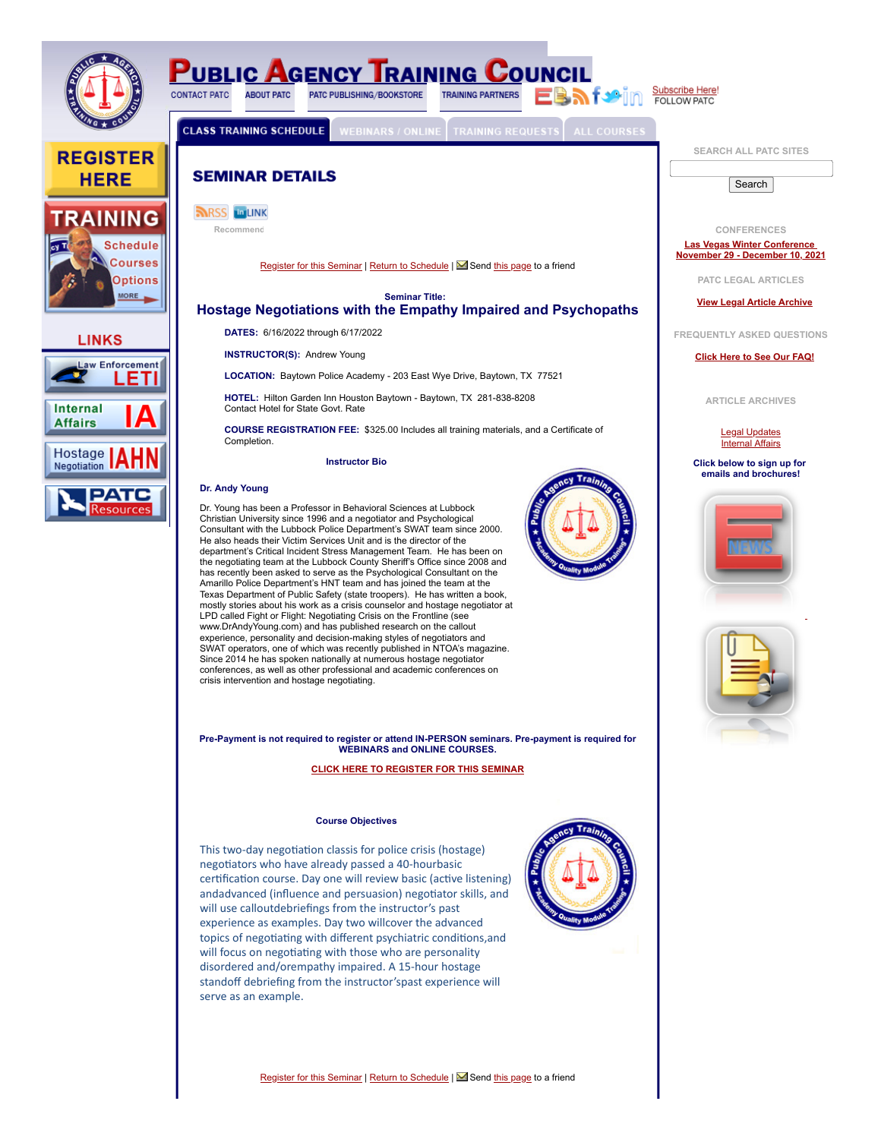